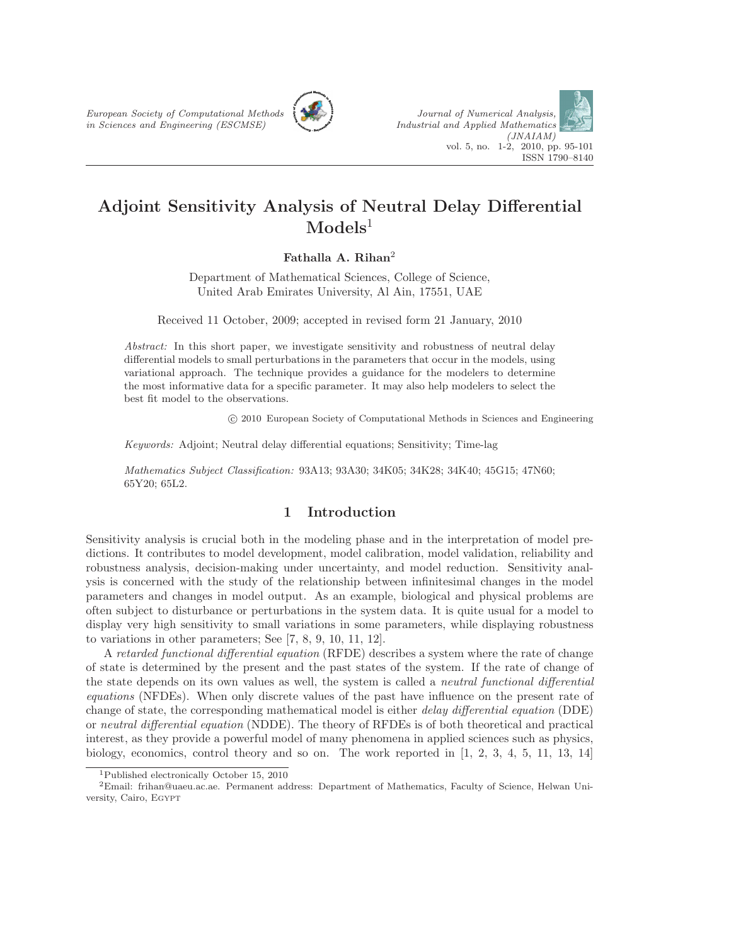

# Adjoint Sensitivity Analysis of Neutral Delay Differential  $\bf{Models}^1$

Fathalla A. Rihan<sup>2</sup>

Department of Mathematical Sciences, College of Science, United Arab Emirates University, Al Ain, 17551, UAE

Received 11 October, 2009; accepted in revised form 21 January, 2010

Abstract: In this short paper, we investigate sensitivity and robustness of neutral delay differential models to small perturbations in the parameters that occur in the models, using variational approach. The technique provides a guidance for the modelers to determine the most informative data for a specific parameter. It may also help modelers to select the best fit model to the observations.

c 2010 European Society of Computational Methods in Sciences and Engineering

Keywords: Adjoint; Neutral delay differential equations; Sensitivity; Time-lag

Mathematics Subject Classification: 93A13; 93A30; 34K05; 34K28; 34K40; 45G15; 47N60; 65Y20; 65L2.

## 1 Introduction

Sensitivity analysis is crucial both in the modeling phase and in the interpretation of model predictions. It contributes to model development, model calibration, model validation, reliability and robustness analysis, decision-making under uncertainty, and model reduction. Sensitivity analysis is concerned with the study of the relationship between infinitesimal changes in the model parameters and changes in model output. As an example, biological and physical problems are often subject to disturbance or perturbations in the system data. It is quite usual for a model to display very high sensitivity to small variations in some parameters, while displaying robustness to variations in other parameters; See [7, 8, 9, 10, 11, 12].

A retarded functional differential equation (RFDE) describes a system where the rate of change of state is determined by the present and the past states of the system. If the rate of change of the state depends on its own values as well, the system is called a neutral functional differential equations (NFDEs). When only discrete values of the past have influence on the present rate of change of state, the corresponding mathematical model is either delay differential equation (DDE) or neutral differential equation (NDDE). The theory of RFDEs is of both theoretical and practical interest, as they provide a powerful model of many phenomena in applied sciences such as physics, biology, economics, control theory and so on. The work reported in [1, 2, 3, 4, 5, 11, 13, 14]

<sup>1</sup>Published electronically October 15, 2010

<sup>2</sup>Email: frihan@uaeu.ac.ae. Permanent address: Department of Mathematics, Faculty of Science, Helwan University, Cairo, Egypt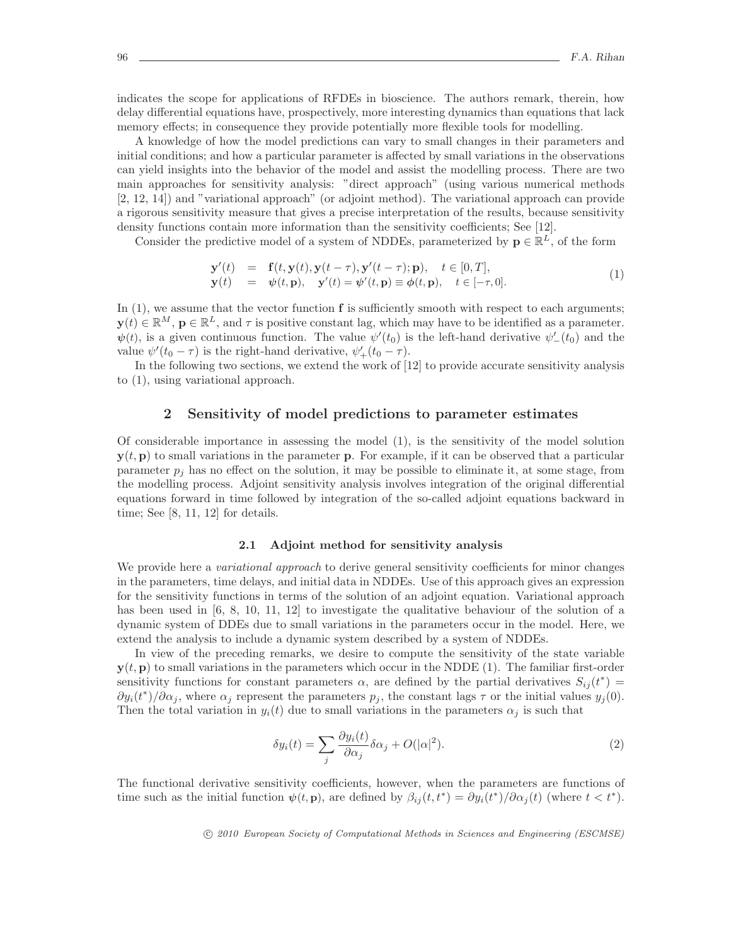indicates the scope for applications of RFDEs in bioscience. The authors remark, therein, how delay differential equations have, prospectively, more interesting dynamics than equations that lack memory effects; in consequence they provide potentially more flexible tools for modelling.

A knowledge of how the model predictions can vary to small changes in their parameters and initial conditions; and how a particular parameter is affected by small variations in the observations can yield insights into the behavior of the model and assist the modelling process. There are two main approaches for sensitivity analysis: "direct approach" (using various numerical methods [2, 12, 14]) and "variational approach" (or adjoint method). The variational approach can provide a rigorous sensitivity measure that gives a precise interpretation of the results, because sensitivity density functions contain more information than the sensitivity coefficients; See [12].

Consider the predictive model of a system of NDDEs, parameterized by  $\mathbf{p} \in \mathbb{R}^L$ , of the form

$$
\mathbf{y}'(t) = \mathbf{f}(t, \mathbf{y}(t), \mathbf{y}(t-\tau), \mathbf{y}'(t-\tau); \mathbf{p}), \quad t \in [0, T], \n\mathbf{y}(t) = \psi(t, \mathbf{p}), \quad \mathbf{y}'(t) = \psi'(t, \mathbf{p}) \equiv \phi(t, \mathbf{p}), \quad t \in [-\tau, 0].
$$
\n(1)

In  $(1)$ , we assume that the vector function  $f$  is sufficiently smooth with respect to each arguments;  $\mathbf{y}(t) \in \mathbb{R}^M$ ,  $\mathbf{p} \in \mathbb{R}^L$ , and  $\tau$  is positive constant lag, which may have to be identified as a parameter.  $\psi(t)$ , is a given continuous function. The value  $\psi'(t_0)$  is the left-hand derivative  $\psi'_{-}(t_0)$  and the value  $\psi'(t_0 - \tau)$  is the right-hand derivative,  $\psi'_+(t_0 - \tau)$ .

In the following two sections, we extend the work of [12] to provide accurate sensitivity analysis to (1), using variational approach.

## 2 Sensitivity of model predictions to parameter estimates

Of considerable importance in assessing the model (1), is the sensitivity of the model solution  $y(t, p)$  to small variations in the parameter p. For example, if it can be observed that a particular parameter  $p_i$  has no effect on the solution, it may be possible to eliminate it, at some stage, from the modelling process. Adjoint sensitivity analysis involves integration of the original differential equations forward in time followed by integration of the so-called adjoint equations backward in time; See [8, 11, 12] for details.

#### 2.1 Adjoint method for sensitivity analysis

We provide here a *variational approach* to derive general sensitivity coefficients for minor changes in the parameters, time delays, and initial data in NDDEs. Use of this approach gives an expression for the sensitivity functions in terms of the solution of an adjoint equation. Variational approach has been used in [6, 8, 10, 11, 12] to investigate the qualitative behaviour of the solution of a dynamic system of DDEs due to small variations in the parameters occur in the model. Here, we extend the analysis to include a dynamic system described by a system of NDDEs.

In view of the preceding remarks, we desire to compute the sensitivity of the state variable  $y(t, p)$  to small variations in the parameters which occur in the NDDE (1). The familiar first-order sensitivity functions for constant parameters  $\alpha$ , are defined by the partial derivatives  $S_{ij}(t^*)$  =  $\partial y_i(t^*)/\partial \alpha_j$ , where  $\alpha_j$  represent the parameters  $p_j$ , the constant lags  $\tau$  or the initial values  $y_j(0)$ . Then the total variation in  $y_i(t)$  due to small variations in the parameters  $\alpha_i$  is such that

$$
\delta y_i(t) = \sum_j \frac{\partial y_i(t)}{\partial \alpha_j} \delta \alpha_j + O(|\alpha|^2). \tag{2}
$$

The functional derivative sensitivity coefficients, however, when the parameters are functions of time such as the initial function  $\psi(t, \mathbf{p})$ , are defined by  $\beta_{ij}(t, t^*) = \partial y_i(t^*)/\partial \alpha_j(t)$  (where  $t < t^*$ ).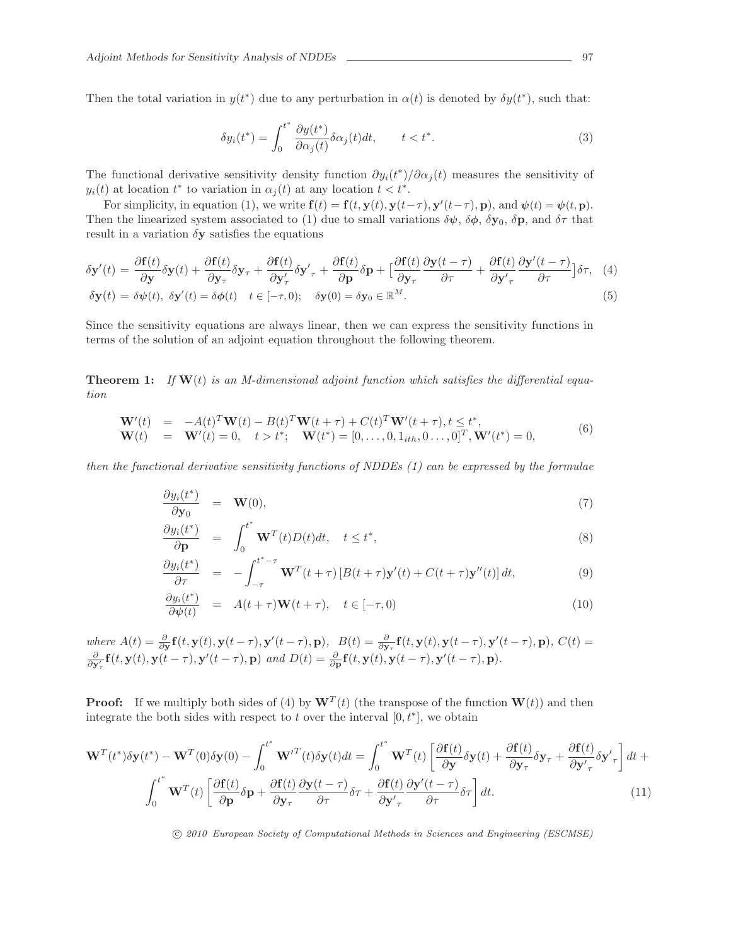Then the total variation in  $y(t^*)$  due to any perturbation in  $\alpha(t)$  is denoted by  $\delta y(t^*)$ , such that:

$$
\delta y_i(t^*) = \int_0^{t^*} \frac{\partial y(t^*)}{\partial \alpha_j(t)} \delta \alpha_j(t) dt, \qquad t < t^*.
$$
\n(3)

The functional derivative sensitivity density function  $\partial y_i(t^*)/\partial \alpha_j(t)$  measures the sensitivity of  $y_i(t)$  at location  $t^*$  to variation in  $\alpha_j(t)$  at any location  $t < t^*$ .

For simplicity, in equation (1), we write  $\mathbf{f}(t) = \mathbf{f}(t, \mathbf{y}(t), \mathbf{y}(t-\tau), \mathbf{y}'(t-\tau), \mathbf{p})$ , and  $\psi(t) = \psi(t, \mathbf{p})$ . Then the linearized system associated to (1) due to small variations  $\delta\psi$ ,  $\delta\phi$ ,  $\delta y_0$ ,  $\delta p$ , and  $\delta\tau$  that result in a variation  $\delta y$  satisfies the equations

$$
\delta \mathbf{y}'(t) = \frac{\partial \mathbf{f}(t)}{\partial \mathbf{y}} \delta \mathbf{y}(t) + \frac{\partial \mathbf{f}(t)}{\partial \mathbf{y}_{\tau}} \delta \mathbf{y}_{\tau} + \frac{\partial \mathbf{f}(t)}{\partial \mathbf{y}_{\tau}'} \delta \mathbf{y}'_{\tau} + \frac{\partial \mathbf{f}(t)}{\partial \mathbf{p}} \delta \mathbf{p} + \left[ \frac{\partial \mathbf{f}(t)}{\partial \mathbf{y}_{\tau}} \frac{\partial \mathbf{y}(t-\tau)}{\partial \tau} + \frac{\partial \mathbf{f}(t)}{\partial \mathbf{y}'_{\tau}} \frac{\partial \mathbf{y}'(t-\tau)}{\partial \tau} \right] \delta \tau, (4)
$$
  
\n
$$
\delta \mathbf{y}(t) = \delta \psi(t), \ \delta \mathbf{y}'(t) = \delta \phi(t) \quad t \in [-\tau, 0); \quad \delta \mathbf{y}(0) = \delta \mathbf{y}_0 \in \mathbb{R}^M.
$$

Since the sensitivity equations are always linear, then we can express the sensitivity functions in terms of the solution of an adjoint equation throughout the following theorem.

**Theorem 1:** If  $W(t)$  is an M-dimensional adjoint function which satisfies the differential equation

$$
\begin{array}{rcl}\n\mathbf{W}'(t) & = & -A(t)^T \mathbf{W}(t) - B(t)^T \mathbf{W}(t + \tau) + C(t)^T \mathbf{W}'(t + \tau), t \le t^*, \\
\mathbf{W}(t) & = & \mathbf{W}'(t) = 0, \quad t > t^*; \\
\mathbf{W}(t^*) & = & [0, \dots, 0, 1_{ith}, 0 \dots, 0]^T, \mathbf{W}'(t^*) = 0,\n\end{array} \tag{6}
$$

then the functional derivative sensitivity functions of NDDEs  $(1)$  can be expressed by the formulae

$$
\frac{\partial y_i(t^*)}{\partial \mathbf{y}_0} = \mathbf{W}(0),\tag{7}
$$

$$
\frac{\partial y_i(t^*)}{\partial \mathbf{p}} = \int_0^{t^*} \mathbf{W}^T(t) D(t) dt, \quad t \le t^*,
$$
\n(8)

$$
\frac{\partial y_i(t^*)}{\partial \tau} = -\int_{-\tau}^{t^*-\tau} \mathbf{W}^T(t+\tau) \left[ B(t+\tau) \mathbf{y}'(t) + C(t+\tau) \mathbf{y}''(t) \right] dt, \tag{9}
$$

$$
\frac{\partial y_i(t^*)}{\partial \psi(t)} = A(t+\tau)\mathbf{W}(t+\tau), \quad t \in [-\tau, 0)
$$
\n(10)

where  $A(t) = \frac{\partial}{\partial y} \mathbf{f}(t, y(t), y(t-\tau), y'(t-\tau), \mathbf{p}), \quad B(t) = \frac{\partial}{\partial y_{\tau}} \mathbf{f}(t, y(t), y(t-\tau), y'(t-\tau), \mathbf{p}), \ C(t) =$  $\frac{\partial}{\partial y'_\tau} \mathbf{f}(t, \mathbf{y}(t), \mathbf{y}(t-\tau), \mathbf{y}'(t-\tau), \mathbf{p})$  and  $D(t) = \frac{\partial}{\partial \mathbf{p}} \mathbf{f}(t, \mathbf{y}(t), \mathbf{y}(t-\tau), \mathbf{y}'(t-\tau), \mathbf{p}).$ 

**Proof:** If we multiply both sides of (4) by  $W^T(t)$  (the transpose of the function  $W(t)$ ) and then integrate the both sides with respect to t over the interval  $[0, t^*]$ , we obtain

$$
\mathbf{W}^{T}(t^{*})\delta\mathbf{y}(t^{*}) - \mathbf{W}^{T}(0)\delta\mathbf{y}(0) - \int_{0}^{t^{*}} \mathbf{W}'^{T}(t)\delta\mathbf{y}(t)dt = \int_{0}^{t^{*}} \mathbf{W}^{T}(t)\left[\frac{\partial \mathbf{f}(t)}{\partial \mathbf{y}}\delta\mathbf{y}(t) + \frac{\partial \mathbf{f}(t)}{\partial \mathbf{y}_{\tau}}\delta\mathbf{y}_{\tau} + \frac{\partial \mathbf{f}(t)}{\partial \mathbf{y}_{\tau}^{\prime}}\delta\mathbf{y}_{\tau}^{\prime}\right]dt + \int_{0}^{t^{*}} \mathbf{W}^{T}(t)\left[\frac{\partial \mathbf{f}(t)}{\partial \mathbf{p}}\delta\mathbf{p} + \frac{\partial \mathbf{f}(t)}{\partial \mathbf{y}_{\tau}}\frac{\partial \mathbf{y}(t-\tau)}{\partial \tau}\delta\tau + \frac{\partial \mathbf{f}(t)}{\partial \mathbf{y}_{\tau}^{\prime}}\frac{\partial \mathbf{y}'(t-\tau)}{\partial \tau}\delta\tau\right]dt.
$$
\n(11)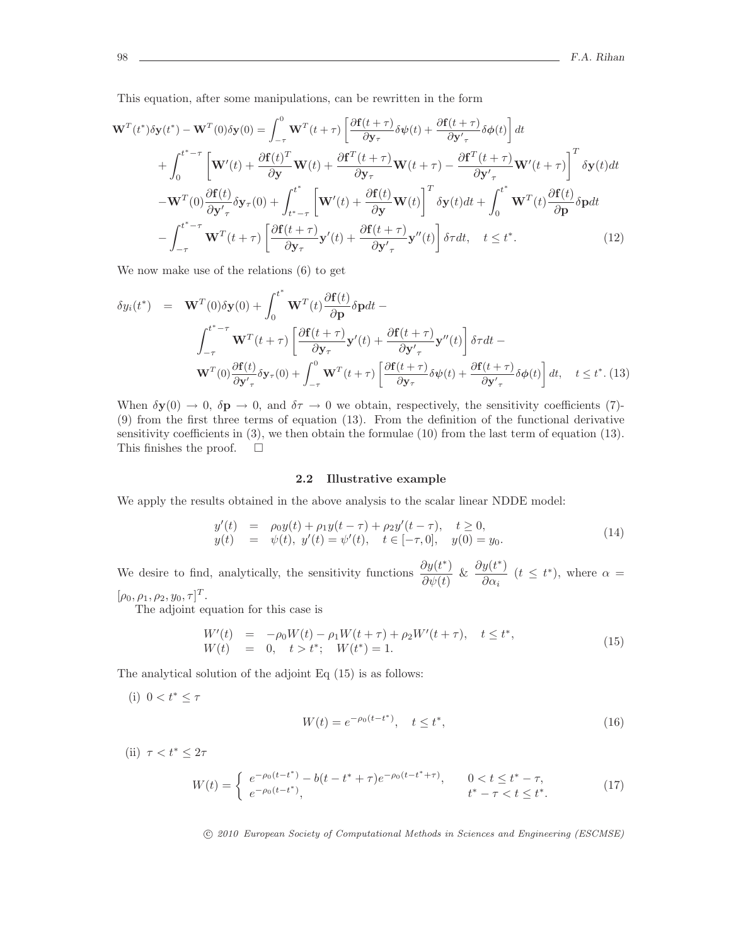This equation, after some manipulations, can be rewritten in the form

$$
\mathbf{W}^{T}(t^{*})\delta\mathbf{y}(t^{*}) - \mathbf{W}^{T}(0)\delta\mathbf{y}(0) = \int_{-\tau}^{0} \mathbf{W}^{T}(t+\tau) \left[ \frac{\partial \mathbf{f}(t+\tau)}{\partial \mathbf{y}_{\tau}} \delta\psi(t) + \frac{\partial \mathbf{f}(t+\tau)}{\partial \mathbf{y}_{\tau}} \delta\phi(t) \right] dt + \int_{0}^{t^{*}-\tau} \left[ \mathbf{W}'(t) + \frac{\partial \mathbf{f}(t)^{T}}{\partial \mathbf{y}} \mathbf{W}(t) + \frac{\partial \mathbf{f}^{T}(t+\tau)}{\partial \mathbf{y}_{\tau}} \mathbf{W}(t+\tau) - \frac{\partial \mathbf{f}^{T}(t+\tau)}{\partial \mathbf{y}_{\tau}^{\prime}} \mathbf{W}'(t+\tau) \right]^{T} \delta\mathbf{y}(t) dt - \mathbf{W}^{T}(0) \frac{\partial \mathbf{f}(t)}{\partial \mathbf{y}_{\tau}^{\prime}} \delta\mathbf{y}_{\tau}(0) + \int_{t^{*}-\tau}^{t^{*}} \left[ \mathbf{W}'(t) + \frac{\partial \mathbf{f}(t)}{\partial \mathbf{y}} \mathbf{W}(t) \right]^{T} \delta\mathbf{y}(t) dt + \int_{0}^{t^{*}} \mathbf{W}^{T}(t) \frac{\partial \mathbf{f}(t)}{\partial \mathbf{p}} \delta\mathbf{p} dt - \int_{-\tau}^{t^{*}-\tau} \mathbf{W}^{T}(t+\tau) \left[ \frac{\partial \mathbf{f}(t+\tau)}{\partial \mathbf{y}_{\tau}} \mathbf{y}'(t) + \frac{\partial \mathbf{f}(t+\tau)}{\partial \mathbf{y}_{\tau}^{\prime}} \mathbf{y}''(t) \right] \delta\tau dt, \quad t \leq t^{*}.
$$
 (12)

We now make use of the relations (6) to get

$$
\delta y_i(t^*) = \mathbf{W}^T(0)\delta \mathbf{y}(0) + \int_0^{t^*} \mathbf{W}^T(t) \frac{\partial \mathbf{f}(t)}{\partial \mathbf{p}} \delta \mathbf{p} dt -
$$
\n
$$
\int_{-\tau}^{t^*-\tau} \mathbf{W}^T(t+\tau) \left[ \frac{\partial \mathbf{f}(t+\tau)}{\partial \mathbf{y}_\tau} \mathbf{y}'(t) + \frac{\partial \mathbf{f}(t+\tau)}{\partial \mathbf{y}'_\tau} \mathbf{y}''(t) \right] \delta \tau dt -
$$
\n
$$
\mathbf{W}^T(0) \frac{\partial \mathbf{f}(t)}{\partial \mathbf{y}'_\tau} \delta \mathbf{y}_\tau(0) + \int_{-\tau}^0 \mathbf{W}^T(t+\tau) \left[ \frac{\partial \mathbf{f}(t+\tau)}{\partial \mathbf{y}_\tau} \delta \psi(t) + \frac{\partial \mathbf{f}(t+\tau)}{\partial \mathbf{y}'_\tau} \delta \phi(t) \right] dt, \quad t \le t^*. \text{ (13)}
$$

When  $\delta y(0) \to 0$ ,  $\delta \mathbf{p} \to 0$ , and  $\delta \tau \to 0$  we obtain, respectively, the sensitivity coefficients (7)-(9) from the first three terms of equation (13). From the definition of the functional derivative sensitivity coefficients in (3), we then obtain the formulae (10) from the last term of equation (13). This finishes the proof.  $\square$ 

#### 2.2 Illustrative example

We apply the results obtained in the above analysis to the scalar linear NDDE model:

$$
y'(t) = \rho_0 y(t) + \rho_1 y(t - \tau) + \rho_2 y'(t - \tau), \quad t \ge 0,y(t) = \psi(t), \ y'(t) = \psi'(t), \quad t \in [-\tau, 0], \quad y(0) = y_0.
$$
\n(14)

We desire to find, analytically, the sensitivity functions  $\frac{\partial y(t^*)}{\partial x^2}$  $\frac{\partial y(t^*)}{\partial \psi(t)}$  &  $\frac{\partial y(t^*)}{\partial \alpha_i}$  $\frac{y(t^{\prime})}{\partial \alpha_i}$   $(t \leq t^*)$ , where  $\alpha =$ 

 $[\rho_0, \rho_1, \rho_2, y_0, \tau]^T$ .

The adjoint equation for this case is

$$
W'(t) = -\rho_0 W(t) - \rho_1 W(t + \tau) + \rho_2 W'(t + \tau), \quad t \le t^*,
$$
  
\n
$$
W(t) = 0, \quad t > t^*; \quad W(t^*) = 1.
$$
\n(15)

The analytical solution of the adjoint Eq (15) is as follows:

(i) 
$$
0 < t^* \le \tau
$$
  

$$
W(t) = e^{-\rho_0 (t - t^*)}, \quad t \le t^*,
$$
 (16)

(ii)  $\tau < t^* \leq 2\tau$ 

$$
W(t) = \begin{cases} e^{-\rho_0(t-t^*)} - b(t-t^*+\tau)e^{-\rho_0(t-t^*+\tau)}, & 0 < t \le t^*-\tau, \\ e^{-\rho_0(t-t^*)}, & t^*-\tau < t \le t^*. \end{cases}
$$
(17)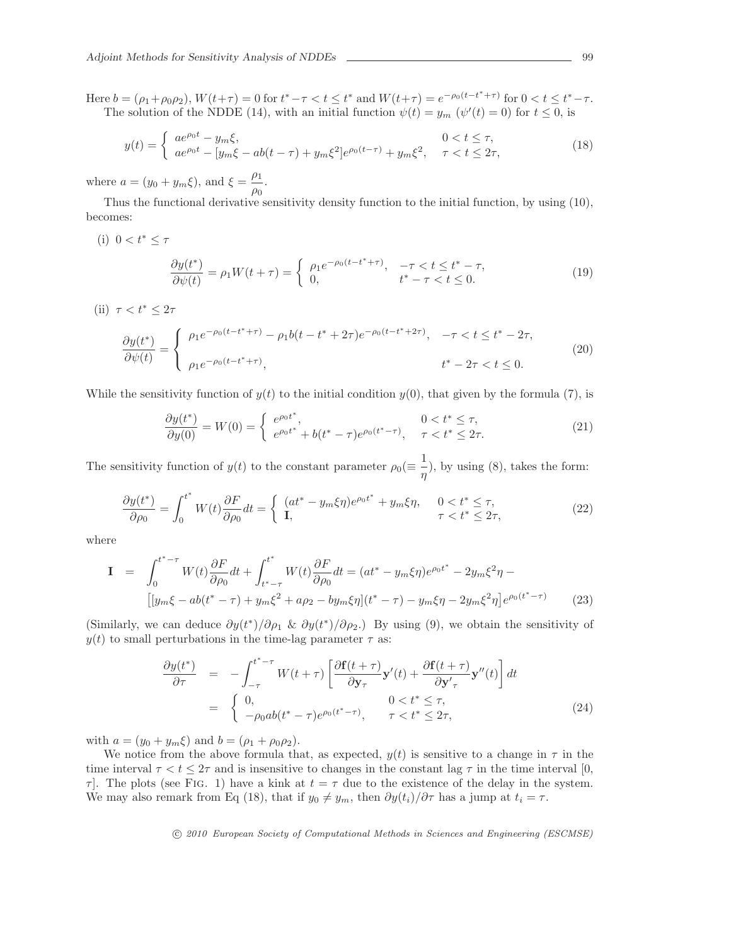Here  $b = (\rho_1 + \rho_0 \rho_2)$ ,  $W(t + \tau) = 0$  for  $t^* - \tau < t \leq t^*$  and  $W(t + \tau) = e^{-\rho_0 (t - t^* + \tau)}$  for  $0 < t \leq t^* - \tau$ . The solution of the NDDE (14), with an initial function  $\psi(t) = y_m$  ( $\psi'(t) = 0$ ) for  $t \le 0$ , is

$$
y(t) = \begin{cases} a e^{\rho_0 t} - y_m \xi, & 0 < t \le \tau, \\ a e^{\rho_0 t} - [y_m \xi - ab(t - \tau) + y_m \xi^2] e^{\rho_0 (t - \tau)} + y_m \xi^2, & \tau < t \le 2\tau, \end{cases}
$$
(18)

where  $a = (y_0 + y_m \xi)$ , and  $\xi = \frac{\rho_1}{\xi}$  $\frac{\rho_1}{\rho_0}$ .

Thus the functional derivative sensitivity density function to the initial function, by using (10), becomes:

(i)  $0 < t^* \leq \tau$ 

$$
\frac{\partial y(t^*)}{\partial \psi(t)} = \rho_1 W(t + \tau) = \begin{cases} \rho_1 e^{-\rho_0 (t - t^* + \tau)}, & -\tau < t \le t^* - \tau, \\ 0, & t^* - \tau < t \le 0. \end{cases}
$$
(19)

(ii)  $\tau < t^* \leq 2\tau$ 

$$
\frac{\partial y(t^*)}{\partial \psi(t)} = \begin{cases} \rho_1 e^{-\rho_0 (t - t^* + \tau)} - \rho_1 b(t - t^* + 2\tau) e^{-\rho_0 (t - t^* + 2\tau)}, & -\tau < t \le t^* - 2\tau, \\ \rho_1 e^{-\rho_0 (t - t^* + \tau)}, & t^* - 2\tau < t \le 0. \end{cases}
$$
(20)

While the sensitivity function of  $y(t)$  to the initial condition  $y(0)$ , that given by the formula (7), is

$$
\frac{\partial y(t^*)}{\partial y(0)} = W(0) = \begin{cases} e^{\rho_0 t^*}, & 0 < t^* \le \tau, \\ e^{\rho_0 t^*} + b(t^* - \tau)e^{\rho_0 (t^* - \tau)}, & \tau < t^* \le 2\tau. \end{cases}
$$
(21)

The sensitivity function of  $y(t)$  to the constant parameter  $\rho_0(\equiv \frac{1}{n})$  $\frac{1}{\eta}$ , by using (8), takes the form:

$$
\frac{\partial y(t^*)}{\partial \rho_0} = \int_0^{t^*} W(t) \frac{\partial F}{\partial \rho_0} dt = \begin{cases} (at^* - y_m \xi \eta) e^{\rho_0 t^*} + y_m \xi \eta, & 0 < t^* \le \tau, \\ \mathbf{I}, & \tau < t^* \le 2\tau, \end{cases}
$$
(22)

where

$$
\mathbf{I} = \int_0^{t^*-\tau} W(t) \frac{\partial F}{\partial \rho_0} dt + \int_{t^*-\tau}^{t^*} W(t) \frac{\partial F}{\partial \rho_0} dt = (at^* - y_m \xi \eta) e^{\rho_0 t^*} - 2y_m \xi^2 \eta - \left[ [y_m \xi - ab(t^* - \tau) + y_m \xi^2 + a\rho_2 - by_m \xi \eta] (t^* - \tau) - y_m \xi \eta - 2y_m \xi^2 \eta \right] e^{\rho_0 (t^* - \tau)} \tag{23}
$$

(Similarly, we can deduce  $\partial y(t^*)/\partial \rho_1 \& \partial y(t^*)/\partial \rho_2$ .) By using (9), we obtain the sensitivity of  $y(t)$  to small perturbations in the time-lag parameter  $\tau$  as:

$$
\frac{\partial y(t^*)}{\partial \tau} = -\int_{-\tau}^{t^*-\tau} W(t+\tau) \left[ \frac{\partial \mathbf{f}(t+\tau)}{\partial \mathbf{y}_{\tau}} \mathbf{y}'(t) + \frac{\partial \mathbf{f}(t+\tau)}{\partial \mathbf{y}'_{\tau}} \mathbf{y}''(t) \right] dt
$$
\n
$$
= \begin{cases} 0, & 0 < t^* \le \tau, \\ -\rho_0 ab(t^*-\tau) e^{\rho_0(t^*-\tau)}, & \tau < t^* \le 2\tau, \end{cases}
$$
\n(24)

with  $a = (y_0 + y_m \xi)$  and  $b = (\rho_1 + \rho_0 \rho_2)$ .

We notice from the above formula that, as expected,  $y(t)$  is sensitive to a change in  $\tau$  in the time interval  $\tau < t \leq 2\tau$  and is insensitive to changes in the constant lag  $\tau$  in the time interval [0,  $\tau$ . The plots (see Fig. 1) have a kink at  $t = \tau$  due to the existence of the delay in the system. We may also remark from Eq (18), that if  $y_0 \neq y_m$ , then  $\partial y(t_i)/\partial \tau$  has a jump at  $t_i = \tau$ .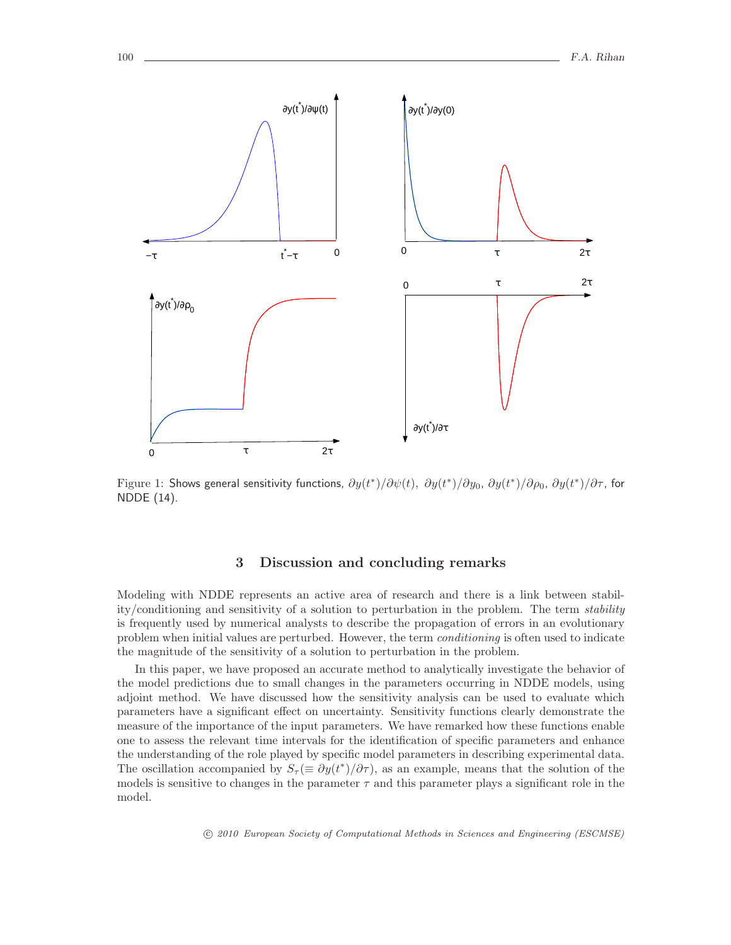

Figure 1: Shows general sensitivity functions,  $\partial y(t^*)/\partial \psi(t)$ ,  $\partial y(t^*)/\partial y_0$ ,  $\partial y(t^*)/\partial \rho_0$ ,  $\partial y(t^*)/\partial \tau$ , for NDDE (14).

## 3 Discussion and concluding remarks

Modeling with NDDE represents an active area of research and there is a link between stability/conditioning and sensitivity of a solution to perturbation in the problem. The term stability is frequently used by numerical analysts to describe the propagation of errors in an evolutionary problem when initial values are perturbed. However, the term conditioning is often used to indicate the magnitude of the sensitivity of a solution to perturbation in the problem.

In this paper, we have proposed an accurate method to analytically investigate the behavior of the model predictions due to small changes in the parameters occurring in NDDE models, using adjoint method. We have discussed how the sensitivity analysis can be used to evaluate which parameters have a significant effect on uncertainty. Sensitivity functions clearly demonstrate the measure of the importance of the input parameters. We have remarked how these functions enable one to assess the relevant time intervals for the identification of specific parameters and enhance the understanding of the role played by specific model parameters in describing experimental data. The oscillation accompanied by  $S_\tau (\equiv \partial y(t^*)/\partial \tau)$ , as an example, means that the solution of the models is sensitive to changes in the parameter  $\tau$  and this parameter plays a significant role in the model.